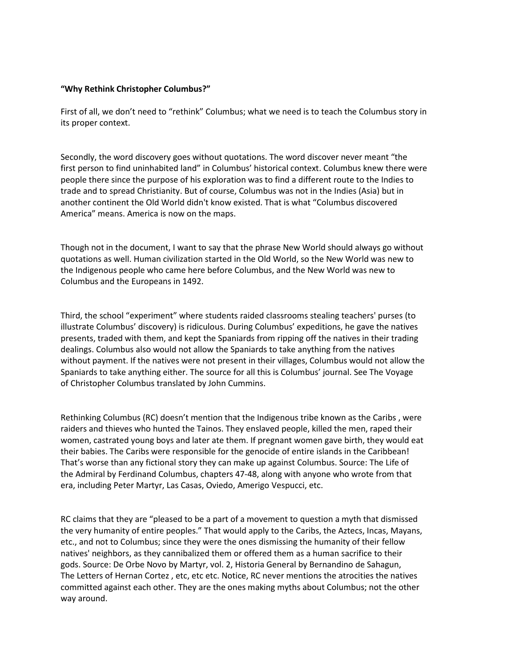# **"Why Rethink Christopher Columbus?"**

First of all, we don't need to "rethink" Columbus; what we need is to teach the Columbus story in its proper context.

Secondly, the word discovery goes without quotations. The word discover never meant "the first person to find uninhabited land" in Columbus' historical context. Columbus knew there were people there since the purpose of his exploration was to find a different route to the Indies to trade and to spread Christianity. But of course, Columbus was not in the Indies (Asia) but in another continent the Old World didn't know existed. That is what "Columbus discovered America" means. America is now on the maps.

Though not in the document, I want to say that the phrase New World should always go without quotations as well. Human civilization started in the Old World, so the New World was new to the Indigenous people who came here before Columbus, and the New World was new to Columbus and the Europeans in 1492.

Third, the school "experiment" where students raided classrooms stealing teachers' purses (to illustrate Columbus' discovery) is ridiculous. During Columbus' expeditions, he gave the natives presents, traded with them, and kept the Spaniards from ripping off the natives in their trading dealings. Columbus also would not allow the Spaniards to take anything from the natives without payment. If the natives were not present in their villages, Columbus would not allow the Spaniards to take anything either. The source for all this is Columbus' journal. See The Voyage of Christopher Columbus translated by John Cummins.

Rethinking Columbus (RC) doesn't mention that the Indigenous tribe known as the Caribs , were raiders and thieves who hunted the Tainos. They enslaved people, killed the men, raped their women, castrated young boys and later ate them. If pregnant women gave birth, they would eat their babies. The Caribs were responsible for the genocide of entire islands in the Caribbean! That's worse than any fictional story they can make up against Columbus. Source: The Life of the Admiral by Ferdinand Columbus, chapters 47-48, along with anyone who wrote from that era, including Peter Martyr, Las Casas, Oviedo, Amerigo Vespucci, etc.

RC claims that they are "pleased to be a part of a movement to question a myth that dismissed the very humanity of entire peoples." That would apply to the Caribs, the Aztecs, Incas, Mayans, etc., and not to Columbus; since they were the ones dismissing the humanity of their fellow natives' neighbors, as they cannibalized them or offered them as a human sacrifice to their gods. Source: De Orbe Novo by Martyr, vol. 2, Historia General by Bernandino de Sahagun, The Letters of Hernan Cortez , etc, etc etc. Notice, RC never mentions the atrocities the natives committed against each other. They are the ones making myths about Columbus; not the other way around.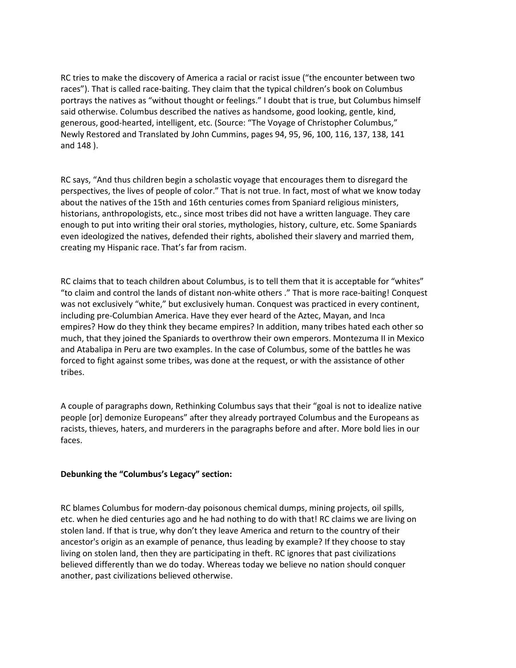RC tries to make the discovery of America a racial or racist issue ("the encounter between two races"). That is called race-baiting. They claim that the typical children's book on Columbus portrays the natives as "without thought or feelings." I doubt that is true, but Columbus himself said otherwise. Columbus described the natives as handsome, good looking, gentle, kind, generous, good-hearted, intelligent, etc. (Source: "The Voyage of Christopher Columbus," Newly Restored and Translated by John Cummins, pages 94, 95, 96, 100, 116, 137, 138, 141 and 148 ).

RC says, "And thus children begin a scholastic voyage that encourages them to disregard the perspectives, the lives of people of color." That is not true. In fact, most of what we know today about the natives of the 15th and 16th centuries comes from Spaniard religious ministers, historians, anthropologists, etc., since most tribes did not have a written language. They care enough to put into writing their oral stories, mythologies, history, culture, etc. Some Spaniards even ideologized the natives, defended their rights, abolished their slavery and married them, creating my Hispanic race. That's far from racism.

RC claims that to teach children about Columbus, is to tell them that it is acceptable for "whites" "to claim and control the lands of distant non-white others ." That is more race-baiting! Conquest was not exclusively "white," but exclusively human. Conquest was practiced in every continent, including pre-Columbian America. Have they ever heard of the Aztec, Mayan, and Inca empires? How do they think they became empires? In addition, many tribes hated each other so much, that they joined the Spaniards to overthrow their own emperors. Montezuma II in Mexico and Atabalipa in Peru are two examples. In the case of Columbus, some of the battles he was forced to fight against some tribes, was done at the request, or with the assistance of other tribes.

A couple of paragraphs down, Rethinking Columbus says that their "goal is not to idealize native people [or] demonize Europeans" after they already portrayed Columbus and the Europeans as racists, thieves, haters, and murderers in the paragraphs before and after. More bold lies in our faces.

## **Debunking the "Columbus's Legacy" section:**

RC blames Columbus for modern-day poisonous chemical dumps, mining projects, oil spills, etc. when he died centuries ago and he had nothing to do with that! RC claims we are living on stolen land. If that is true, why don't they leave America and return to the country of their ancestor's origin as an example of penance, thus leading by example? If they choose to stay living on stolen land, then they are participating in theft. RC ignores that past civilizations believed differently than we do today. Whereas today we believe no nation should conquer another, past civilizations believed otherwise.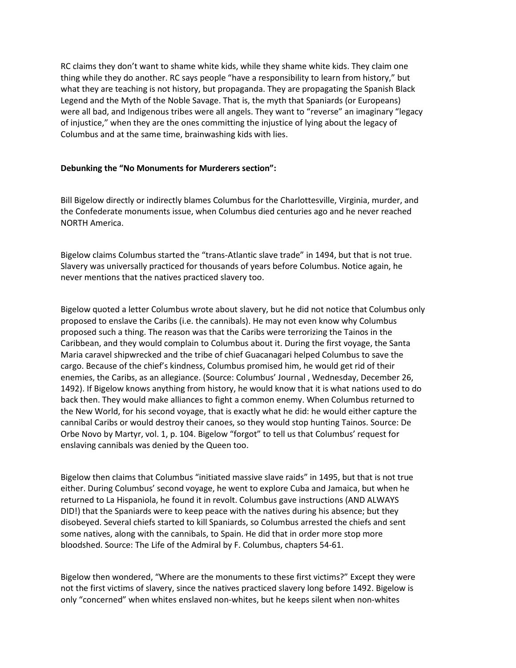RC claims they don't want to shame white kids, while they shame white kids. They claim one thing while they do another. RC says people "have a responsibility to learn from history," but what they are teaching is not history, but propaganda. They are propagating the Spanish Black Legend and the Myth of the Noble Savage. That is, the myth that Spaniards (or Europeans) were all bad, and Indigenous tribes were all angels. They want to "reverse" an imaginary "legacy of injustice," when they are the ones committing the injustice of lying about the legacy of Columbus and at the same time, brainwashing kids with lies.

# **Debunking the "No Monuments for Murderers section":**

Bill Bigelow directly or indirectly blames Columbus for the Charlottesville, Virginia, murder, and the Confederate monuments issue, when Columbus died centuries ago and he never reached NORTH America.

Bigelow claims Columbus started the "trans-Atlantic slave trade" in 1494, but that is not true. Slavery was universally practiced for thousands of years before Columbus. Notice again, he never mentions that the natives practiced slavery too.

Bigelow quoted a letter Columbus wrote about slavery, but he did not notice that Columbus only proposed to enslave the Caribs (i.e. the cannibals). He may not even know why Columbus proposed such a thing. The reason was that the Caribs were terrorizing the Tainos in the Caribbean, and they would complain to Columbus about it. During the first voyage, the Santa Maria caravel shipwrecked and the tribe of chief Guacanagari helped Columbus to save the cargo. Because of the chief's kindness, Columbus promised him, he would get rid of their enemies, the Caribs, as an allegiance. (Source: Columbus' Journal , Wednesday, December 26, 1492). If Bigelow knows anything from history, he would know that it is what nations used to do back then. They would make alliances to fight a common enemy. When Columbus returned to the New World, for his second voyage, that is exactly what he did: he would either capture the cannibal Caribs or would destroy their canoes, so they would stop hunting Tainos. Source: De Orbe Novo by Martyr, vol. 1, p. 104. Bigelow "forgot" to tell us that Columbus' request for enslaving cannibals was denied by the Queen too.

Bigelow then claims that Columbus "initiated massive slave raids" in 1495, but that is not true either. During Columbus' second voyage, he went to explore Cuba and Jamaica, but when he returned to La Hispaniola, he found it in revolt. Columbus gave instructions (AND ALWAYS DID!) that the Spaniards were to keep peace with the natives during his absence; but they disobeyed. Several chiefs started to kill Spaniards, so Columbus arrested the chiefs and sent some natives, along with the cannibals, to Spain. He did that in order more stop more bloodshed. Source: The Life of the Admiral by F. Columbus, chapters 54-61.

Bigelow then wondered, "Where are the monuments to these first victims?" Except they were not the first victims of slavery, since the natives practiced slavery long before 1492. Bigelow is only "concerned" when whites enslaved non-whites, but he keeps silent when non-whites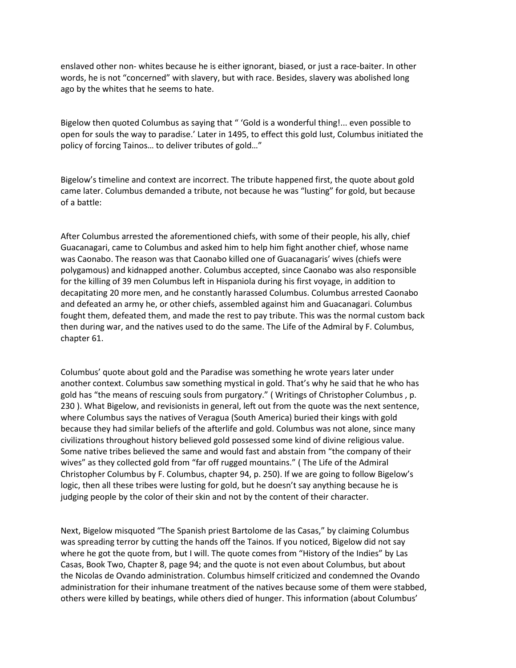enslaved other non- whites because he is either ignorant, biased, or just a race-baiter. In other words, he is not "concerned" with slavery, but with race. Besides, slavery was abolished long ago by the whites that he seems to hate.

Bigelow then quoted Columbus as saying that " 'Gold is a wonderful thing!... even possible to open for souls the way to paradise.' Later in 1495, to effect this gold lust, Columbus initiated the policy of forcing Tainos… to deliver tributes of gold…"

Bigelow's timeline and context are incorrect. The tribute happened first, the quote about gold came later. Columbus demanded a tribute, not because he was "lusting" for gold, but because of a battle:

After Columbus arrested the aforementioned chiefs, with some of their people, his ally, chief Guacanagari, came to Columbus and asked him to help him fight another chief, whose name was Caonabo. The reason was that Caonabo killed one of Guacanagaris' wives (chiefs were polygamous) and kidnapped another. Columbus accepted, since Caonabo was also responsible for the killing of 39 men Columbus left in Hispaniola during his first voyage, in addition to decapitating 20 more men, and he constantly harassed Columbus. Columbus arrested Caonabo and defeated an army he, or other chiefs, assembled against him and Guacanagari. Columbus fought them, defeated them, and made the rest to pay tribute. This was the normal custom back then during war, and the natives used to do the same. The Life of the Admiral by F. Columbus, chapter 61.

Columbus' quote about gold and the Paradise was something he wrote years later under another context. Columbus saw something mystical in gold. That's why he said that he who has gold has "the means of rescuing souls from purgatory." ( Writings of Christopher Columbus , p. 230 ). What Bigelow, and revisionists in general, left out from the quote was the next sentence, where Columbus says the natives of Veragua (South America) buried their kings with gold because they had similar beliefs of the afterlife and gold. Columbus was not alone, since many civilizations throughout history believed gold possessed some kind of divine religious value. Some native tribes believed the same and would fast and abstain from "the company of their wives" as they collected gold from "far off rugged mountains." ( The Life of the Admiral Christopher Columbus by F. Columbus, chapter 94, p. 250). If we are going to follow Bigelow's logic, then all these tribes were lusting for gold, but he doesn't say anything because he is judging people by the color of their skin and not by the content of their character.

Next, Bigelow misquoted "The Spanish priest Bartolome de las Casas," by claiming Columbus was spreading terror by cutting the hands off the Tainos. If you noticed, Bigelow did not say where he got the quote from, but I will. The quote comes from "History of the Indies" by Las Casas, Book Two, Chapter 8, page 94; and the quote is not even about Columbus, but about the Nicolas de Ovando administration. Columbus himself criticized and condemned the Ovando administration for their inhumane treatment of the natives because some of them were stabbed, others were killed by beatings, while others died of hunger. This information (about Columbus'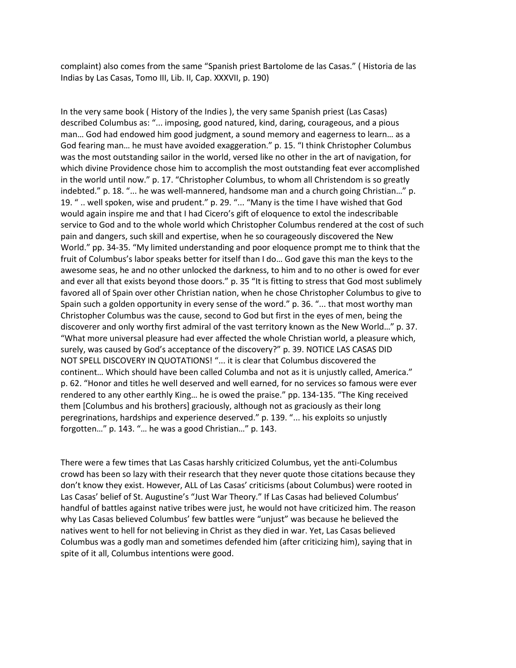complaint) also comes from the same "Spanish priest Bartolome de las Casas." ( Historia de las Indias by Las Casas, Tomo III, Lib. II, Cap. XXXVII, p. 190)

In the very same book ( History of the Indies ), the very same Spanish priest (Las Casas) described Columbus as: "... imposing, good natured, kind, daring, courageous, and a pious man… God had endowed him good judgment, a sound memory and eagerness to learn… as a God fearing man… he must have avoided exaggeration." p. 15. "I think Christopher Columbus was the most outstanding sailor in the world, versed like no other in the art of navigation, for which divine Providence chose him to accomplish the most outstanding feat ever accomplished in the world until now." p. 17. "Christopher Columbus, to whom all Christendom is so greatly indebted." p. 18. "... he was well-mannered, handsome man and a church going Christian…" p. 19. " .. well spoken, wise and prudent." p. 29. "... "Many is the time I have wished that God would again inspire me and that I had Cicero's gift of eloquence to extol the indescribable service to God and to the whole world which Christopher Columbus rendered at the cost of such pain and dangers, such skill and expertise, when he so courageously discovered the New World." pp. 34-35. "My limited understanding and poor eloquence prompt me to think that the fruit of Columbus's labor speaks better for itself than I do… God gave this man the keys to the awesome seas, he and no other unlocked the darkness, to him and to no other is owed for ever and ever all that exists beyond those doors." p. 35 "It is fitting to stress that God most sublimely favored all of Spain over other Christian nation, when he chose Christopher Columbus to give to Spain such a golden opportunity in every sense of the word." p. 36. "... that most worthy man Christopher Columbus was the cause, second to God but first in the eyes of men, being the discoverer and only worthy first admiral of the vast territory known as the New World…" p. 37. "What more universal pleasure had ever affected the whole Christian world, a pleasure which, surely, was caused by God's acceptance of the discovery?" p. 39. NOTICE LAS CASAS DID NOT SPELL DISCOVERY IN QUOTATIONS! "... it is clear that Columbus discovered the continent… Which should have been called Columba and not as it is unjustly called, America." p. 62. "Honor and titles he well deserved and well earned, for no services so famous were ever rendered to any other earthly King… he is owed the praise." pp. 134-135. "The King received them [Columbus and his brothers] graciously, although not as graciously as their long peregrinations, hardships and experience deserved." p. 139. "... his exploits so unjustly forgotten…" p. 143. "… he was a good Christian…" p. 143.

There were a few times that Las Casas harshly criticized Columbus, yet the anti-Columbus crowd has been so lazy with their research that they never quote those citations because they don't know they exist. However, ALL of Las Casas' criticisms (about Columbus) were rooted in Las Casas' belief of St. Augustine's "Just War Theory." If Las Casas had believed Columbus' handful of battles against native tribes were just, he would not have criticized him. The reason why Las Casas believed Columbus' few battles were "unjust" was because he believed the natives went to hell for not believing in Christ as they died in war. Yet, Las Casas believed Columbus was a godly man and sometimes defended him (after criticizing him), saying that in spite of it all, Columbus intentions were good.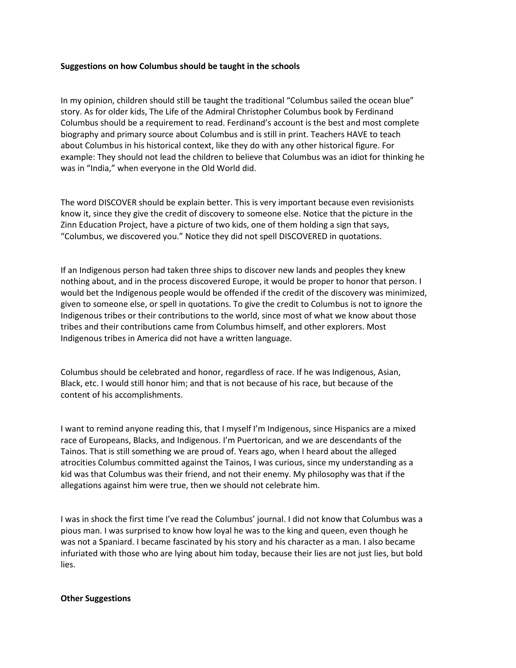## **Suggestions on how Columbus should be taught in the schools**

In my opinion, children should still be taught the traditional "Columbus sailed the ocean blue" story. As for older kids, The Life of the Admiral Christopher Columbus book by Ferdinand Columbus should be a requirement to read. Ferdinand's account is the best and most complete biography and primary source about Columbus and is still in print. Teachers HAVE to teach about Columbus in his historical context, like they do with any other historical figure. For example: They should not lead the children to believe that Columbus was an idiot for thinking he was in "India," when everyone in the Old World did.

The word DISCOVER should be explain better. This is very important because even revisionists know it, since they give the credit of discovery to someone else. Notice that the picture in the Zinn Education Project, have a picture of two kids, one of them holding a sign that says, "Columbus, we discovered you." Notice they did not spell DISCOVERED in quotations.

If an Indigenous person had taken three ships to discover new lands and peoples they knew nothing about, and in the process discovered Europe, it would be proper to honor that person. I would bet the Indigenous people would be offended if the credit of the discovery was minimized, given to someone else, or spell in quotations. To give the credit to Columbus is not to ignore the Indigenous tribes or their contributions to the world, since most of what we know about those tribes and their contributions came from Columbus himself, and other explorers. Most Indigenous tribes in America did not have a written language.

Columbus should be celebrated and honor, regardless of race. If he was Indigenous, Asian, Black, etc. I would still honor him; and that is not because of his race, but because of the content of his accomplishments.

I want to remind anyone reading this, that I myself I'm Indigenous, since Hispanics are a mixed race of Europeans, Blacks, and Indigenous. I'm Puertorican, and we are descendants of the Tainos. That is still something we are proud of. Years ago, when I heard about the alleged atrocities Columbus committed against the Tainos, I was curious, since my understanding as a kid was that Columbus was their friend, and not their enemy. My philosophy was that if the allegations against him were true, then we should not celebrate him.

I was in shock the first time I've read the Columbus' journal. I did not know that Columbus was a pious man. I was surprised to know how loyal he was to the king and queen, even though he was not a Spaniard. I became fascinated by his story and his character as a man. I also became infuriated with those who are lying about him today, because their lies are not just lies, but bold lies.

#### **Other Suggestions**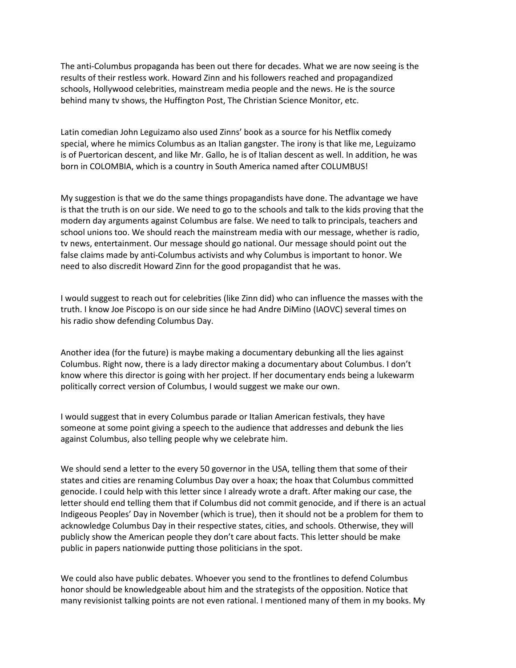The anti-Columbus propaganda has been out there for decades. What we are now seeing is the results of their restless work. Howard Zinn and his followers reached and propagandized schools, Hollywood celebrities, mainstream media people and the news. He is the source behind many tv shows, the Huffington Post, The Christian Science Monitor, etc.

Latin comedian John Leguizamo also used Zinns' book as a source for his Netflix comedy special, where he mimics Columbus as an Italian gangster. The irony is that like me, Leguizamo is of Puertorican descent, and like Mr. Gallo, he is of Italian descent as well. In addition, he was born in COLOMBIA, which is a country in South America named after COLUMBUS!

My suggestion is that we do the same things propagandists have done. The advantage we have is that the truth is on our side. We need to go to the schools and talk to the kids proving that the modern day arguments against Columbus are false. We need to talk to principals, teachers and school unions too. We should reach the mainstream media with our message, whether is radio, tv news, entertainment. Our message should go national. Our message should point out the false claims made by anti-Columbus activists and why Columbus is important to honor. We need to also discredit Howard Zinn for the good propagandist that he was.

I would suggest to reach out for celebrities (like Zinn did) who can influence the masses with the truth. I know Joe Piscopo is on our side since he had Andre DiMino (IAOVC) several times on his radio show defending Columbus Day.

Another idea (for the future) is maybe making a documentary debunking all the lies against Columbus. Right now, there is a lady director making a documentary about Columbus. I don't know where this director is going with her project. If her documentary ends being a lukewarm politically correct version of Columbus, I would suggest we make our own.

I would suggest that in every Columbus parade or Italian American festivals, they have someone at some point giving a speech to the audience that addresses and debunk the lies against Columbus, also telling people why we celebrate him.

We should send a letter to the every 50 governor in the USA, telling them that some of their states and cities are renaming Columbus Day over a hoax; the hoax that Columbus committed genocide. I could help with this letter since I already wrote a draft. After making our case, the letter should end telling them that if Columbus did not commit genocide, and if there is an actual Indigeous Peoples' Day in November (which is true), then it should not be a problem for them to acknowledge Columbus Day in their respective states, cities, and schools. Otherwise, they will publicly show the American people they don't care about facts. This letter should be make public in papers nationwide putting those politicians in the spot.

We could also have public debates. Whoever you send to the frontlines to defend Columbus honor should be knowledgeable about him and the strategists of the opposition. Notice that many revisionist talking points are not even rational. I mentioned many of them in my books. My